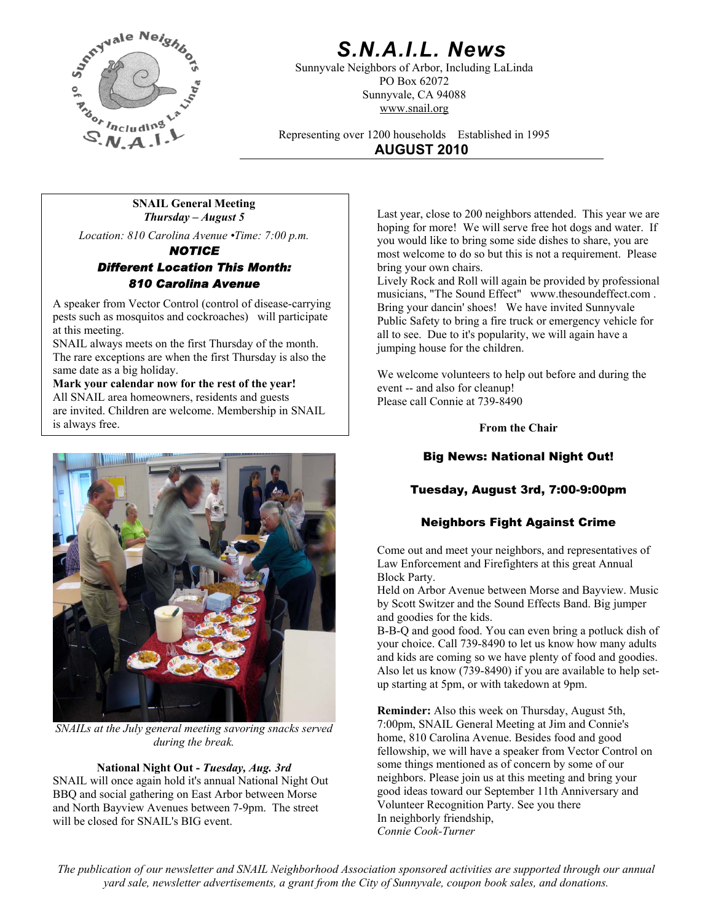

# *S.N.A.I.L. News*

Sunnyvale Neighbors of Arbor, Including LaLinda PO Box 62072 Sunnyvale, CA 94088 www.snail.org

Representing over 1200 households Established in 1995 **AUGUST 2010**

**SNAIL General Meeting**  *Thursday – August 5*

*Location: 810 Carolina Avenue •Time: 7:00 p.m.* 

*NOTICE Different Location This Month: 810 Carolina Avenue*

A speaker from Vector Control (control of disease-carrying pests such as mosquitos and cockroaches) will participate at this meeting.

SNAIL always meets on the first Thursday of the month. The rare exceptions are when the first Thursday is also the same date as a big holiday.

**Mark your calendar now for the rest of the year!** All SNAIL area homeowners, residents and guests are invited. Children are welcome. Membership in SNAIL is always free.



*SNAILs at the July general meeting savoring snacks served during the break.* 

#### **National Night Out -** *Tuesday, Aug. 3rd*

SNAIL will once again hold it's annual National Night Out BBQ and social gathering on East Arbor between Morse and North Bayview Avenues between 7-9pm. The street will be closed for SNAIL's BIG event. In neighborly friendship,

Last year, close to 200 neighbors attended. This year we are hoping for more! We will serve free hot dogs and water. If you would like to bring some side dishes to share, you are most welcome to do so but this is not a requirement. Please bring your own chairs.

Lively Rock and Roll will again be provided by professional musicians, "The Sound Effect" www.thesoundeffect.com . Bring your dancin' shoes! We have invited Sunnyvale Public Safety to bring a fire truck or emergency vehicle for all to see. Due to it's popularity, we will again have a jumping house for the children.

We welcome volunteers to help out before and during the event -- and also for cleanup! Please call Connie at 739-8490

**From the Chair** 

# Big News: National Night Out!

# Tuesday, August 3rd, 7:00-9:00pm

# Neighbors Fight Against Crime

Come out and meet your neighbors, and representatives of Law Enforcement and Firefighters at this great Annual Block Party.

Held on Arbor Avenue between Morse and Bayview. Music by Scott Switzer and the Sound Effects Band. Big jumper and goodies for the kids.

B-B-Q and good food. You can even bring a potluck dish of your choice. Call 739-8490 to let us know how many adults and kids are coming so we have plenty of food and goodies. Also let us know (739-8490) if you are available to help setup starting at 5pm, or with takedown at 9pm.

**Reminder:** Also this week on Thursday, August 5th, 7:00pm, SNAIL General Meeting at Jim and Connie's home, 810 Carolina Avenue. Besides food and good fellowship, we will have a speaker from Vector Control on some things mentioned as of concern by some of our neighbors. Please join us at this meeting and bring your good ideas toward our September 11th Anniversary and Volunteer Recognition Party. See you there *Connie Cook-Turner*

*The publication of our newsletter and SNAIL Neighborhood Association sponsored activities are supported through our annual yard sale, newsletter advertisements, a grant from the City of Sunnyvale, coupon book sales, and donations.*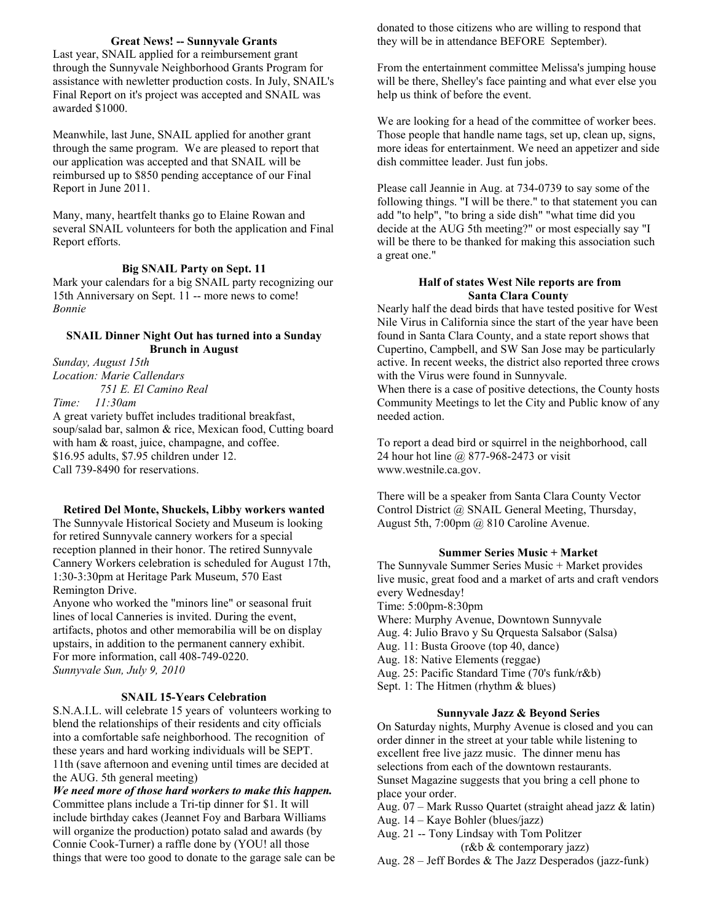### **Great News! -- Sunnyvale Grants**

Last year, SNAIL applied for a reimbursement grant through the Sunnyvale Neighborhood Grants Program for assistance with newletter production costs. In July, SNAIL's Final Report on it's project was accepted and SNAIL was awarded \$1000.

Meanwhile, last June, SNAIL applied for another grant through the same program. We are pleased to report that our application was accepted and that SNAIL will be reimbursed up to \$850 pending acceptance of our Final Report in June 2011.

Many, many, heartfelt thanks go to Elaine Rowan and several SNAIL volunteers for both the application and Final Report efforts.

### **Big SNAIL Party on Sept. 11**

Mark your calendars for a big SNAIL party recognizing our 15th Anniversary on Sept. 11 -- more news to come! *Bonnie*

#### **SNAIL Dinner Night Out has turned into a Sunday Brunch in August**

*Sunday, August 15th Location: Marie Callendars 751 E. El Camino Real Time: 11:30am*

A great variety buffet includes traditional breakfast, soup/salad bar, salmon & rice, Mexican food, Cutting board with ham  $&$  roast, juice, champagne, and coffee. \$16.95 adults, \$7.95 children under 12. Call 739-8490 for reservations.

**Retired Del Monte, Shuckels, Libby workers wanted**  The Sunnyvale Historical Society and Museum is looking for retired Sunnyvale cannery workers for a special reception planned in their honor. The retired Sunnyvale Cannery Workers celebration is scheduled for August 17th, 1:30-3:30pm at Heritage Park Museum, 570 East Remington Drive.

Anyone who worked the "minors line" or seasonal fruit lines of local Canneries is invited. During the event, artifacts, photos and other memorabilia will be on display upstairs, in addition to the permanent cannery exhibit. For more information, call 408-749-0220. *Sunnyvale Sun, July 9, 2010*

#### **SNAIL 15-Years Celebration**

S.N.A.I.L. will celebrate 15 years of volunteers working to blend the relationships of their residents and city officials into a comfortable safe neighborhood. The recognition of these years and hard working individuals will be SEPT. 11th (save afternoon and evening until times are decided at the AUG. 5th general meeting)

*We need more of those hard workers to make this happen.*  Committee plans include a Tri-tip dinner for \$1. It will include birthday cakes (Jeannet Foy and Barbara Williams will organize the production) potato salad and awards (by Connie Cook-Turner) a raffle done by (YOU! all those things that were too good to donate to the garage sale can be donated to those citizens who are willing to respond that they will be in attendance BEFORE September).

From the entertainment committee Melissa's jumping house will be there, Shelley's face painting and what ever else you help us think of before the event.

We are looking for a head of the committee of worker bees. Those people that handle name tags, set up, clean up, signs, more ideas for entertainment. We need an appetizer and side dish committee leader. Just fun jobs.

Please call Jeannie in Aug. at 734-0739 to say some of the following things. "I will be there." to that statement you can add "to help", "to bring a side dish" "what time did you decide at the AUG 5th meeting?" or most especially say "I will be there to be thanked for making this association such a great one."

#### **Half of states West Nile reports are from Santa Clara County**

Nearly half the dead birds that have tested positive for West Nile Virus in California since the start of the year have been found in Santa Clara County, and a state report shows that Cupertino, Campbell, and SW San Jose may be particularly active. In recent weeks, the district also reported three crows with the Virus were found in Sunnyvale.

When there is a case of positive detections, the County hosts Community Meetings to let the City and Public know of any needed action.

To report a dead bird or squirrel in the neighborhood, call 24 hour hot line @ 877-968-2473 or visit www.westnile.ca.gov.

There will be a speaker from Santa Clara County Vector Control District @ SNAIL General Meeting, Thursday, August 5th, 7:00pm @ 810 Caroline Avenue.

#### **Summer Series Music + Market**

The Sunnyvale Summer Series Music + Market provides live music, great food and a market of arts and craft vendors every Wednesday! Time: 5:00pm-8:30pm Where: Murphy Avenue, Downtown Sunnyvale Aug. 4: Julio Bravo y Su Qrquesta Salsabor (Salsa) Aug. 11: Busta Groove (top 40, dance) Aug. 18: Native Elements (reggae) Aug. 25: Pacific Standard Time (70's funk/r&b) Sept. 1: The Hitmen (rhythm & blues)

#### **Sunnyvale Jazz & Beyond Series**

On Saturday nights, Murphy Avenue is closed and you can order dinner in the street at your table while listening to excellent free live jazz music. The dinner menu has selections from each of the downtown restaurants. Sunset Magazine suggests that you bring a cell phone to place your order.

Aug. 07 – Mark Russo Quartet (straight ahead jazz & latin)

Aug. 14 – Kaye Bohler (blues/jazz)

Aug. 21 -- Tony Lindsay with Tom Politzer

(r&b & contemporary jazz)

Aug. 28 – Jeff Bordes & The Jazz Desperados (jazz-funk)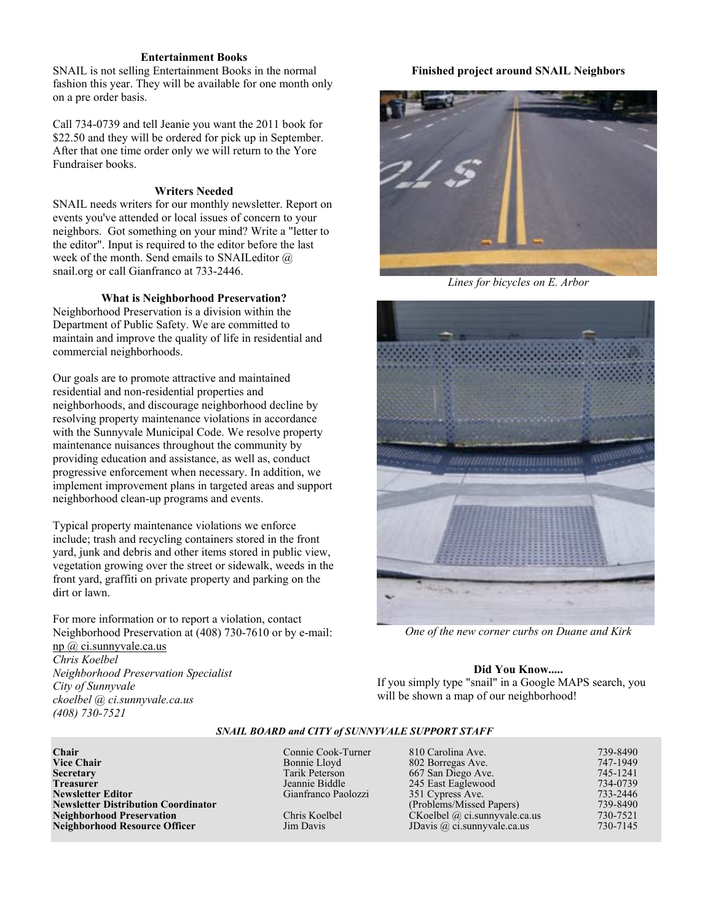#### **Entertainment Books**

SNAIL is not selling Entertainment Books in the normal **Finished project around SNAIL Neighbors**  fashion this year. They will be available for one month only on a pre order basis.

Call 734-0739 and tell Jeanie you want the 2011 book for \$22.50 and they will be ordered for pick up in September. After that one time order only we will return to the Yore Fundraiser books.

#### **Writers Needed**

SNAIL needs writers for our monthly newsletter. Report on events you've attended or local issues of concern to your neighbors. Got something on your mind? Write a "letter to the editor". Input is required to the editor before the last week of the month. Send emails to SNAILeditor @ snail.org or call Gianfranco at 733-2446.

#### **What is Neighborhood Preservation?**

Neighborhood Preservation is a division within the Department of Public Safety. We are committed to maintain and improve the quality of life in residential and commercial neighborhoods.

Our goals are to promote attractive and maintained residential and non-residential properties and neighborhoods, and discourage neighborhood decline by resolving property maintenance violations in accordance with the Sunnyvale Municipal Code. We resolve property maintenance nuisances throughout the community by providing education and assistance, as well as, conduct progressive enforcement when necessary. In addition, we implement improvement plans in targeted areas and support neighborhood clean-up programs and events.

Typical property maintenance violations we enforce include; trash and recycling containers stored in the front yard, junk and debris and other items stored in public view, vegetation growing over the street or sidewalk, weeds in the front yard, graffiti on private property and parking on the dirt or lawn.

For more information or to report a violation, contact Neighborhood Preservation at (408) 730-7610 or by e-mail: [np @ ci.sunnyvale.ca.us](mailto:np@ci.sunnyvale.ca.us) *Chris Koelbel N* **Did You Know.....** *eighborhood Preservation Specialist City of Sunnyvale*



*Lines for bicycles on E. Arbor* 



*One of the new corner curbs on Duane and Kirk* 

If you simply type "snail" in a Google MAPS search, you will be shown a map of our neighborhood!

*ckoelbel @ ci.sunnyvale.ca.us* 

*(408) 730-7521* 

*SNAIL BOARD and CITY of SUNNYVALE SUPPORT STAFF*

| Chair                                      | Connie Cook-Turner  | 810 Carolina Ave.                   | 739-8490 |
|--------------------------------------------|---------------------|-------------------------------------|----------|
| <b>Vice Chair</b>                          | Bonnie Lloyd        | 802 Borregas Ave.                   | 747-1949 |
| Secretary                                  | Tarik Peterson      | 667 San Diego Ave.                  | 745-1241 |
| Treasurer                                  | Jeannie Biddle      | 245 East Eaglewood                  | 734-0739 |
| Newsletter Editor                          | Gianfranco Paolozzi | 351 Cypress Ave.                    | 733-2446 |
| <b>Newsletter Distribution Coordinator</b> |                     | (Problems/Missed Papers)            | 739-8490 |
| <b>Neighborhood Preservation</b>           | Chris Koelbel       | $CKoelbel$ @ ci.sunnyvale.ca.us     | 730-7521 |
| Neighborhood Resource Officer              | Jim Davis           | JDavis $\omega$ ci. sunnyvale ca.us | 730-7145 |
|                                            |                     |                                     |          |